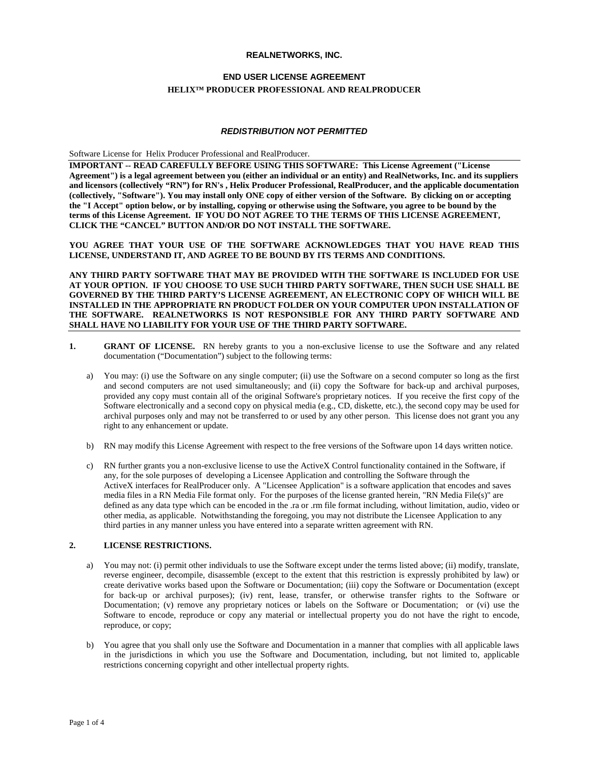## **REALNETWORKS, INC.**

# **END USER LICENSE AGREEMENT HELIX™ PRODUCER PROFESSIONAL AND REALPRODUCER**

#### *REDISTRIBUTION NOT PERMITTED*

Software License for Helix Producer Professional and RealProducer.

**IMPORTANT -- READ CAREFULLY BEFORE USING THIS SOFTWARE: This License Agreement ("License Agreement") is a legal agreement between you (either an individual or an entity) and RealNetworks, Inc. and its suppliers and licensors (collectively "RN") for RN's , Helix Producer Professional, RealProducer, and the applicable documentation (collectively, "Software"). You may install only ONE copy of either version of the Software. By clicking on or accepting the "I Accept" option below, or by installing, copying or otherwise using the Software, you agree to be bound by the terms of this License Agreement. IF YOU DO NOT AGREE TO THE TERMS OF THIS LICENSE AGREEMENT, CLICK THE "CANCEL" BUTTON AND/OR DO NOT INSTALL THE SOFTWARE.**

**YOU AGREE THAT YOUR USE OF THE SOFTWARE ACKNOWLEDGES THAT YOU HAVE READ THIS LICENSE, UNDERSTAND IT, AND AGREE TO BE BOUND BY ITS TERMS AND CONDITIONS.**

**ANY THIRD PARTY SOFTWARE THAT MAY BE PROVIDED WITH THE SOFTWARE IS INCLUDED FOR USE AT YOUR OPTION. IF YOU CHOOSE TO USE SUCH THIRD PARTY SOFTWARE, THEN SUCH USE SHALL BE GOVERNED BY THE THIRD PARTY'S LICENSE AGREEMENT, AN ELECTRONIC COPY OF WHICH WILL BE INSTALLED IN THE APPROPRIATE RN PRODUCT FOLDER ON YOUR COMPUTER UPON INSTALLATION OF THE SOFTWARE. REALNETWORKS IS NOT RESPONSIBLE FOR ANY THIRD PARTY SOFTWARE AND SHALL HAVE NO LIABILITY FOR YOUR USE OF THE THIRD PARTY SOFTWARE.**

- **1. GRANT OF LICENSE.** RN hereby grants to you a non-exclusive license to use the Software and any related documentation ("Documentation") subject to the following terms:
	- a) You may: (i) use the Software on any single computer; (ii) use the Software on a second computer so long as the first and second computers are not used simultaneously; and (ii) copy the Software for back-up and archival purposes, provided any copy must contain all of the original Software's proprietary notices. If you receive the first copy of the Software electronically and a second copy on physical media (e.g., CD, diskette, etc.), the second copy may be used for archival purposes only and may not be transferred to or used by any other person. This license does not grant you any right to any enhancement or update.
	- b) RN may modify this License Agreement with respect to the free versions of the Software upon 14 days written notice.
	- c) RN further grants you a non-exclusive license to use the ActiveX Control functionality contained in the Software, if any, for the sole purposes of developing a Licensee Application and controlling the Software through the ActiveX interfaces for RealProducer only. A "Licensee Application" is a software application that encodes and saves media files in a RN Media File format only. For the purposes of the license granted herein, "RN Media File(s)" are defined as any data type which can be encoded in the .ra or .rm file format including, without limitation, audio, video or other media, as applicable. Notwithstanding the foregoing, you may not distribute the Licensee Application to any third parties in any manner unless you have entered into a separate written agreement with RN.

# **2. LICENSE RESTRICTIONS.**

- a) You may not: (i) permit other individuals to use the Software except under the terms listed above; (ii) modify, translate, reverse engineer, decompile, disassemble (except to the extent that this restriction is expressly prohibited by law) or create derivative works based upon the Software or Documentation; (iii) copy the Software or Documentation (except for back-up or archival purposes); (iv) rent, lease, transfer, or otherwise transfer rights to the Software or Documentation; (v) remove any proprietary notices or labels on the Software or Documentation; or (vi) use the Software to encode, reproduce or copy any material or intellectual property you do not have the right to encode, reproduce, or copy;
- b) You agree that you shall only use the Software and Documentation in a manner that complies with all applicable laws in the jurisdictions in which you use the Software and Documentation, including, but not limited to, applicable restrictions concerning copyright and other intellectual property rights.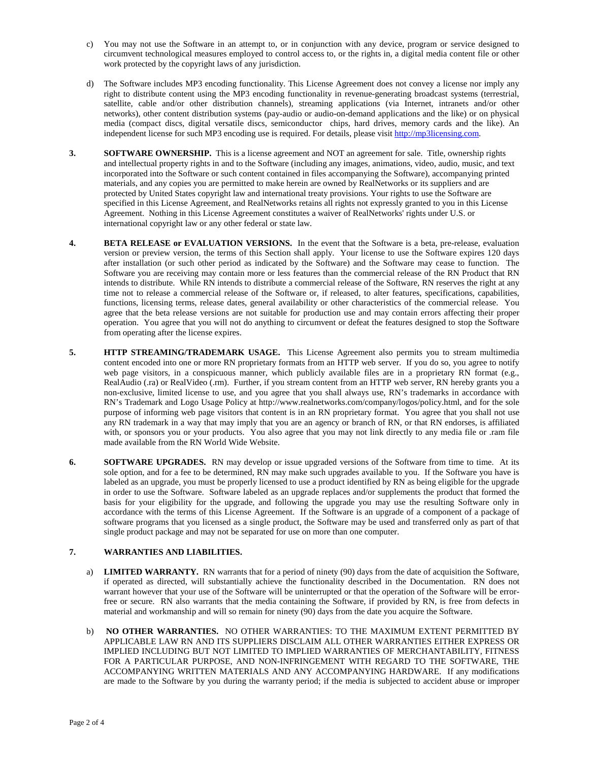- c) You may not use the Software in an attempt to, or in conjunction with any device, program or service designed to circumvent technological measures employed to control access to, or the rights in, a digital media content file or other work protected by the copyright laws of any jurisdiction.
- d) The Software includes MP3 encoding functionality. This License Agreement does not convey a license nor imply any right to distribute content using the MP3 encoding functionality in revenue-generating broadcast systems (terrestrial, satellite, cable and/or other distribution channels), streaming applications (via Internet, intranets and/or other networks), other content distribution systems (pay-audio or audio-on-demand applications and the like) or on physical media (compact discs, digital versatile discs, semiconductor chips, hard drives, memory cards and the like). An independent license for such MP3 encoding use is required. For details, please visi[t http://mp3licensing.com.](http://mp3licensing.com/)
- **3. SOFTWARE OWNERSHIP.** This is a license agreement and NOT an agreement for sale. Title, ownership rights and intellectual property rights in and to the Software (including any images, animations, video, audio, music, and text incorporated into the Software or such content contained in files accompanying the Software), accompanying printed materials, and any copies you are permitted to make herein are owned by RealNetworks or its suppliers and are protected by United States copyright law and international treaty provisions. Your rights to use the Software are specified in this License Agreement, and RealNetworks retains all rights not expressly granted to you in this License Agreement. Nothing in this License Agreement constitutes a waiver of RealNetworks' rights under U.S. or international copyright law or any other federal or state law.
- **4. BETA RELEASE or EVALUATION VERSIONS.** In the event that the Software is a beta, pre-release, evaluation version or preview version, the terms of this Section shall apply. Your license to use the Software expires 120 days after installation (or such other period as indicated by the Software) and the Software may cease to function. The Software you are receiving may contain more or less features than the commercial release of the RN Product that RN intends to distribute. While RN intends to distribute a commercial release of the Software, RN reserves the right at any time not to release a commercial release of the Software or, if released, to alter features, specifications, capabilities, functions, licensing terms, release dates, general availability or other characteristics of the commercial release. You agree that the beta release versions are not suitable for production use and may contain errors affecting their proper operation. You agree that you will not do anything to circumvent or defeat the features designed to stop the Software from operating after the license expires.
- **5. HTTP STREAMING/TRADEMARK USAGE.** This License Agreement also permits you to stream multimedia content encoded into one or more RN proprietary formats from an HTTP web server. If you do so, you agree to notify web page visitors, in a conspicuous manner, which publicly available files are in a proprietary RN format (e.g., RealAudio (.ra) or RealVideo (.rm). Further, if you stream content from an HTTP web server, RN hereby grants you a non-exclusive, limited license to use, and you agree that you shall always use, RN's trademarks in accordance with RN's Trademark and Logo Usage Policy at http://www.realnetworks.com/company/logos/policy.html, and for the sole purpose of informing web page visitors that content is in an RN proprietary format. You agree that you shall not use any RN trademark in a way that may imply that you are an agency or branch of RN, or that RN endorses, is affiliated with, or sponsors you or your products. You also agree that you may not link directly to any media file or .ram file made available from the RN World Wide Website.
- **6. SOFTWARE UPGRADES.** RN may develop or issue upgraded versions of the Software from time to time. At its sole option, and for a fee to be determined, RN may make such upgrades available to you. If the Software you have is labeled as an upgrade, you must be properly licensed to use a product identified by RN as being eligible for the upgrade in order to use the Software. Software labeled as an upgrade replaces and/or supplements the product that formed the basis for your eligibility for the upgrade, and following the upgrade you may use the resulting Software only in accordance with the terms of this License Agreement. If the Software is an upgrade of a component of a package of software programs that you licensed as a single product, the Software may be used and transferred only as part of that single product package and may not be separated for use on more than one computer.

## **7. WARRANTIES AND LIABILITIES.**

- a) **LIMITED WARRANTY.** RN warrants that for a period of ninety (90) days from the date of acquisition the Software, if operated as directed, will substantially achieve the functionality described in the Documentation. RN does not warrant however that your use of the Software will be uninterrupted or that the operation of the Software will be errorfree or secure. RN also warrants that the media containing the Software, if provided by RN, is free from defects in material and workmanship and will so remain for ninety (90) days from the date you acquire the Software.
- b) **NO OTHER WARRANTIES.** NO OTHER WARRANTIES: TO THE MAXIMUM EXTENT PERMITTED BY APPLICABLE LAW RN AND ITS SUPPLIERS DISCLAIM ALL OTHER WARRANTIES EITHER EXPRESS OR IMPLIED INCLUDING BUT NOT LIMITED TO IMPLIED WARRANTIES OF MERCHANTABILITY, FITNESS FOR A PARTICULAR PURPOSE, AND NON-INFRINGEMENT WITH REGARD TO THE SOFTWARE, THE ACCOMPANYING WRITTEN MATERIALS AND ANY ACCOMPANYING HARDWARE. If any modifications are made to the Software by you during the warranty period; if the media is subjected to accident abuse or improper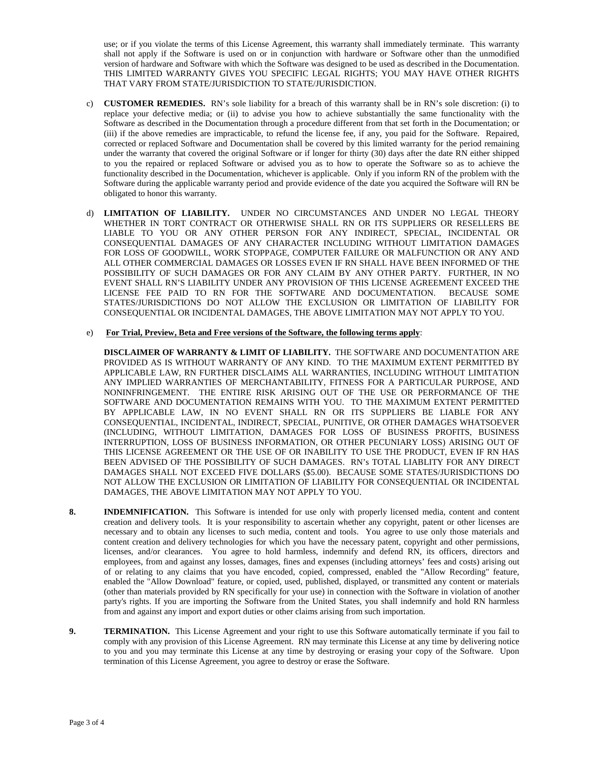use; or if you violate the terms of this License Agreement, this warranty shall immediately terminate. This warranty shall not apply if the Software is used on or in conjunction with hardware or Software other than the unmodified version of hardware and Software with which the Software was designed to be used as described in the Documentation. THIS LIMITED WARRANTY GIVES YOU SPECIFIC LEGAL RIGHTS; YOU MAY HAVE OTHER RIGHTS THAT VARY FROM STATE/JURISDICTION TO STATE/JURISDICTION.

- c) **CUSTOMER REMEDIES.** RN's sole liability for a breach of this warranty shall be in RN's sole discretion: (i) to replace your defective media; or (ii) to advise you how to achieve substantially the same functionality with the Software as described in the Documentation through a procedure different from that set forth in the Documentation; or (iii) if the above remedies are impracticable, to refund the license fee, if any, you paid for the Software. Repaired, corrected or replaced Software and Documentation shall be covered by this limited warranty for the period remaining under the warranty that covered the original Software or if longer for thirty (30) days after the date RN either shipped to you the repaired or replaced Software or advised you as to how to operate the Software so as to achieve the functionality described in the Documentation, whichever is applicable. Only if you inform RN of the problem with the Software during the applicable warranty period and provide evidence of the date you acquired the Software will RN be obligated to honor this warranty.
- d) **LIMITATION OF LIABILITY.** UNDER NO CIRCUMSTANCES AND UNDER NO LEGAL THEORY WHETHER IN TORT CONTRACT OR OTHERWISE SHALL RN OR ITS SUPPLIERS OR RESELLERS BE LIABLE TO YOU OR ANY OTHER PERSON FOR ANY INDIRECT, SPECIAL, INCIDENTAL OR CONSEQUENTIAL DAMAGES OF ANY CHARACTER INCLUDING WITHOUT LIMITATION DAMAGES FOR LOSS OF GOODWILL, WORK STOPPAGE, COMPUTER FAILURE OR MALFUNCTION OR ANY AND ALL OTHER COMMERCIAL DAMAGES OR LOSSES EVEN IF RN SHALL HAVE BEEN INFORMED OF THE POSSIBILITY OF SUCH DAMAGES OR FOR ANY CLAIM BY ANY OTHER PARTY. FURTHER, IN NO EVENT SHALL RN'S LIABILITY UNDER ANY PROVISION OF THIS LICENSE AGREEMENT EXCEED THE LICENSE FEE PAID TO RN FOR THE SOFTWARE AND DOCUMENTATION. BECAUSE SOME STATES/JURISDICTIONS DO NOT ALLOW THE EXCLUSION OR LIMITATION OF LIABILITY FOR CONSEQUENTIAL OR INCIDENTAL DAMAGES, THE ABOVE LIMITATION MAY NOT APPLY TO YOU.

#### e) **For Trial, Preview, Beta and Free versions of the Software, the following terms apply**:

**DISCLAIMER OF WARRANTY & LIMIT OF LIABILITY.** THE SOFTWARE AND DOCUMENTATION ARE PROVIDED AS IS WITHOUT WARRANTY OF ANY KIND. TO THE MAXIMUM EXTENT PERMITTED BY APPLICABLE LAW, RN FURTHER DISCLAIMS ALL WARRANTIES, INCLUDING WITHOUT LIMITATION ANY IMPLIED WARRANTIES OF MERCHANTABILITY, FITNESS FOR A PARTICULAR PURPOSE, AND NONINFRINGEMENT. THE ENTIRE RISK ARISING OUT OF THE USE OR PERFORMANCE OF THE SOFTWARE AND DOCUMENTATION REMAINS WITH YOU. TO THE MAXIMUM EXTENT PERMITTED BY APPLICABLE LAW, IN NO EVENT SHALL RN OR ITS SUPPLIERS BE LIABLE FOR ANY CONSEQUENTIAL, INCIDENTAL, INDIRECT, SPECIAL, PUNITIVE, OR OTHER DAMAGES WHATSOEVER (INCLUDING, WITHOUT LIMITATION, DAMAGES FOR LOSS OF BUSINESS PROFITS, BUSINESS INTERRUPTION, LOSS OF BUSINESS INFORMATION, OR OTHER PECUNIARY LOSS) ARISING OUT OF THIS LICENSE AGREEMENT OR THE USE OF OR INABILITY TO USE THE PRODUCT, EVEN IF RN HAS BEEN ADVISED OF THE POSSIBILITY OF SUCH DAMAGES. RN's TOTAL LIABLITY FOR ANY DIRECT DAMAGES SHALL NOT EXCEED FIVE DOLLARS (\$5.00). BECAUSE SOME STATES/JURISDICTIONS DO NOT ALLOW THE EXCLUSION OR LIMITATION OF LIABILITY FOR CONSEQUENTIAL OR INCIDENTAL DAMAGES, THE ABOVE LIMITATION MAY NOT APPLY TO YOU.

- **8. INDEMNIFICATION.** This Software is intended for use only with properly licensed media, content and content creation and delivery tools. It is your responsibility to ascertain whether any copyright, patent or other licenses are necessary and to obtain any licenses to such media, content and tools. You agree to use only those materials and content creation and delivery technologies for which you have the necessary patent, copyright and other permissions, licenses, and/or clearances. You agree to hold harmless, indemnify and defend RN, its officers, directors and employees, from and against any losses, damages, fines and expenses (including attorneys' fees and costs) arising out of or relating to any claims that you have encoded, copied, compressed, enabled the "Allow Recording" feature, enabled the "Allow Download" feature, or copied, used, published, displayed, or transmitted any content or materials (other than materials provided by RN specifically for your use) in connection with the Software in violation of another party's rights. If you are importing the Software from the United States, you shall indemnify and hold RN harmless from and against any import and export duties or other claims arising from such importation.
- **9. TERMINATION.** This License Agreement and your right to use this Software automatically terminate if you fail to comply with any provision of this License Agreement. RN may terminate this License at any time by delivering notice to you and you may terminate this License at any time by destroying or erasing your copy of the Software. Upon termination of this License Agreement, you agree to destroy or erase the Software.